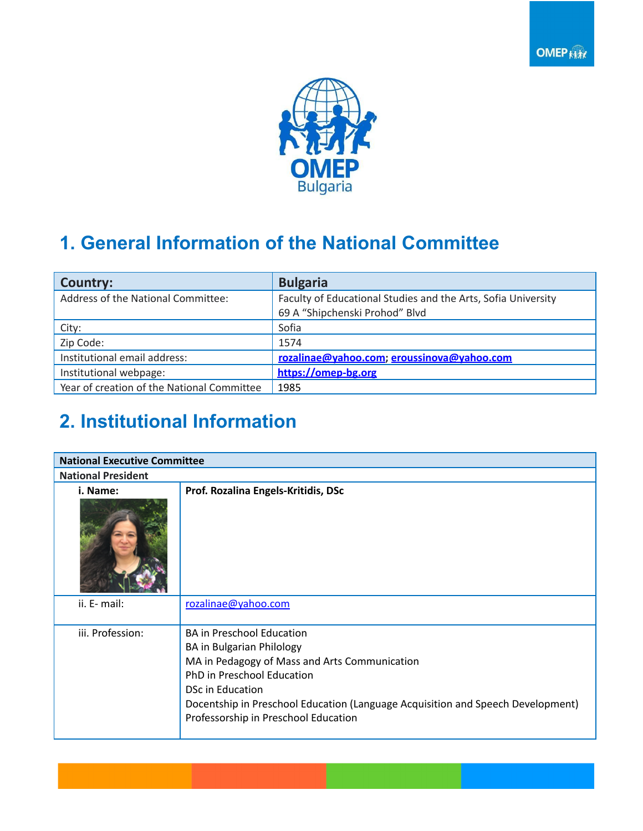



# **1. General Information of the National Committee**

| <b>Country:</b>                            | <b>Bulgaria</b>                                                                                 |
|--------------------------------------------|-------------------------------------------------------------------------------------------------|
| Address of the National Committee:         | Faculty of Educational Studies and the Arts, Sofia University<br>69 A "Shipchenski Prohod" Blvd |
| City:                                      | Sofia                                                                                           |
| Zip Code:                                  | 1574                                                                                            |
| Institutional email address:               | rozalinae@yahoo.com; eroussinova@yahoo.com                                                      |
| Institutional webpage:                     | https://omep-bg.org                                                                             |
| Year of creation of the National Committee | 1985                                                                                            |

# **2. Institutional Information**

| <b>National Executive Committee</b> |                                                                                                                                                                                                                                                                                                    |  |  |  |
|-------------------------------------|----------------------------------------------------------------------------------------------------------------------------------------------------------------------------------------------------------------------------------------------------------------------------------------------------|--|--|--|
| <b>National President</b>           |                                                                                                                                                                                                                                                                                                    |  |  |  |
| i. Name:                            | Prof. Rozalina Engels-Kritidis, DSc                                                                                                                                                                                                                                                                |  |  |  |
| ii. E- mail:                        | rozalinae@yahoo.com                                                                                                                                                                                                                                                                                |  |  |  |
| iii. Profession:                    | <b>BA in Preschool Education</b><br>BA in Bulgarian Philology<br>MA in Pedagogy of Mass and Arts Communication<br>PhD in Preschool Education<br><b>DSc in Education</b><br>Docentship in Preschool Education (Language Acquisition and Speech Development)<br>Professorship in Preschool Education |  |  |  |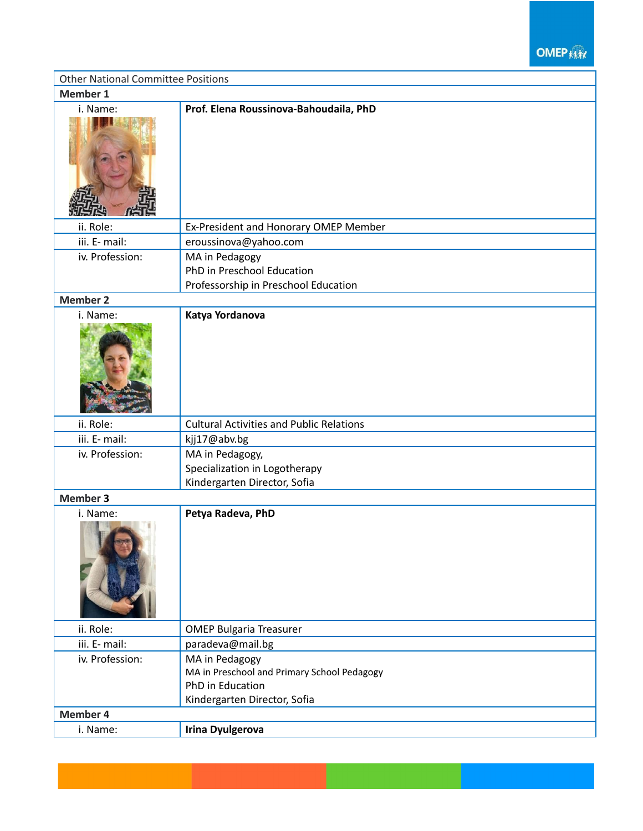**OMEP ANY** 

| <b>Other National Committee Positions</b> |                                                                                                                   |  |  |
|-------------------------------------------|-------------------------------------------------------------------------------------------------------------------|--|--|
| Member 1                                  |                                                                                                                   |  |  |
| i. Name:                                  | Prof. Elena Roussinova-Bahoudaila, PhD                                                                            |  |  |
| ii. Role:                                 | Ex-President and Honorary OMEP Member                                                                             |  |  |
| iii. E- mail:                             | eroussinova@yahoo.com                                                                                             |  |  |
| iv. Profession:                           | MA in Pedagogy                                                                                                    |  |  |
|                                           | PhD in Preschool Education                                                                                        |  |  |
|                                           | Professorship in Preschool Education                                                                              |  |  |
| <b>Member 2</b>                           |                                                                                                                   |  |  |
| i. Name:                                  | Katya Yordanova                                                                                                   |  |  |
| ii. Role:                                 | <b>Cultural Activities and Public Relations</b>                                                                   |  |  |
| iii. E- mail:                             | kjj17@abv.bg                                                                                                      |  |  |
| iv. Profession:                           | MA in Pedagogy,<br>Specialization in Logotherapy<br>Kindergarten Director, Sofia                                  |  |  |
| <b>Member 3</b>                           |                                                                                                                   |  |  |
| i. Name:                                  | Petya Radeva, PhD                                                                                                 |  |  |
| ii. Role:                                 | <b>OMEP Bulgaria Treasurer</b>                                                                                    |  |  |
| iii. E- mail:                             | paradeva@mail.bg                                                                                                  |  |  |
| iv. Profession:                           | MA in Pedagogy<br>MA in Preschool and Primary School Pedagogy<br>PhD in Education<br>Kindergarten Director, Sofia |  |  |
| Member 4                                  |                                                                                                                   |  |  |
| i. Name:                                  | <b>Irina Dyulgerova</b>                                                                                           |  |  |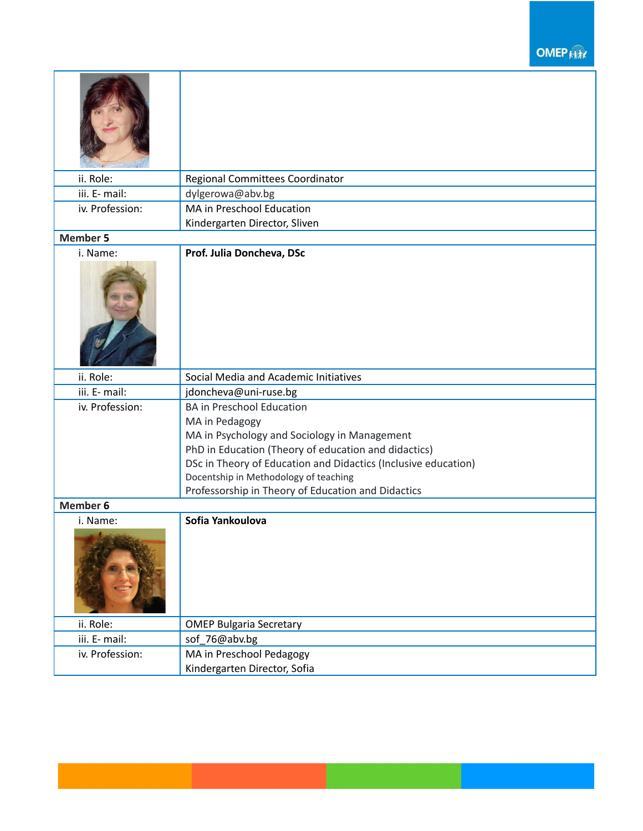#### **OMEP**

| ii. Role:       | Regional Committees Coordinator                                |
|-----------------|----------------------------------------------------------------|
| iii. E- mail:   | dylgerowa@abv.bg                                               |
| iv. Profession: | MA in Preschool Education                                      |
|                 | Kindergarten Director, Sliven                                  |
| <b>Member 5</b> |                                                                |
| i. Name:        | Prof. Julia Doncheva, DSc                                      |
| ii. Role:       | Social Media and Academic Initiatives                          |
| iii. E- mail:   | jdoncheva@uni-ruse.bg                                          |
| iv. Profession: | <b>BA in Preschool Education</b>                               |
|                 | MA in Pedagogy                                                 |
|                 | MA in Psychology and Sociology in Management                   |
|                 | PhD in Education (Theory of education and didactics)           |
|                 | DSc in Theory of Education and Didactics (Inclusive education) |
|                 | Docentship in Methodology of teaching                          |
|                 | Professorship in Theory of Education and Didactics             |
| <b>Member 6</b> |                                                                |
| i. Name:        | Sofia Yankoulova                                               |
| ii. Role:       | <b>OMEP Bulgaria Secretary</b>                                 |
| iii. E- mail:   | sof_76@abv.bg                                                  |
| iv. Profession: | MA in Preschool Pedagogy                                       |
|                 | Kindergarten Director, Sofia                                   |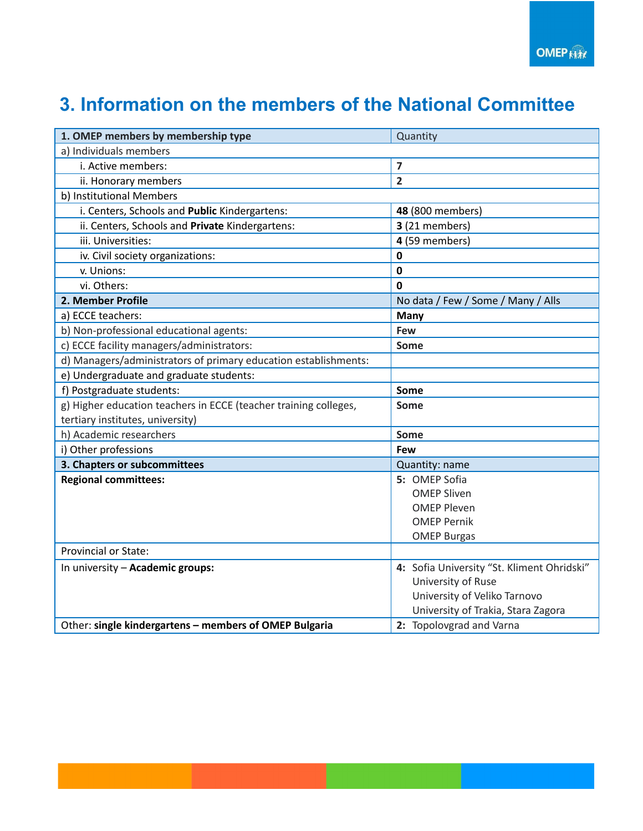### **3. Information on the members of the National Committee**

| 1. OMEP members by membership type                               | Quantity                                   |
|------------------------------------------------------------------|--------------------------------------------|
| a) Individuals members                                           |                                            |
| i. Active members:                                               | 7                                          |
| ii. Honorary members                                             | $\overline{2}$                             |
| b) Institutional Members                                         |                                            |
| i. Centers, Schools and Public Kindergartens:                    | 48 (800 members)                           |
| ii. Centers, Schools and Private Kindergartens:                  | 3 (21 members)                             |
| iii. Universities:                                               | 4 (59 members)                             |
| iv. Civil society organizations:                                 | 0                                          |
| v. Unions:                                                       | $\mathbf 0$                                |
| vi. Others:                                                      | 0                                          |
| 2. Member Profile                                                | No data / Few / Some / Many / Alls         |
| a) ECCE teachers:                                                | <b>Many</b>                                |
| b) Non-professional educational agents:                          | Few                                        |
| c) ECCE facility managers/administrators:                        | Some                                       |
| d) Managers/administrators of primary education establishments:  |                                            |
| e) Undergraduate and graduate students:                          |                                            |
| f) Postgraduate students:                                        | Some                                       |
| g) Higher education teachers in ECCE (teacher training colleges, | Some                                       |
| tertiary institutes, university)                                 |                                            |
| h) Academic researchers                                          | Some                                       |
| i) Other professions                                             | Few                                        |
| 3. Chapters or subcommittees                                     | Quantity: name                             |
| <b>Regional committees:</b>                                      | 5: OMEP Sofia                              |
|                                                                  | <b>OMEP Sliven</b>                         |
|                                                                  | <b>OMEP Pleven</b>                         |
|                                                                  | <b>OMEP Pernik</b>                         |
|                                                                  | <b>OMEP Burgas</b>                         |
| <b>Provincial or State:</b>                                      |                                            |
| In university - Academic groups:                                 | 4: Sofia University "St. Kliment Ohridski" |
|                                                                  | University of Ruse                         |
|                                                                  | University of Veliko Tarnovo               |
|                                                                  | University of Trakia, Stara Zagora         |
| Other: single kindergartens - members of OMEP Bulgaria           | 2: Topolovgrad and Varna                   |